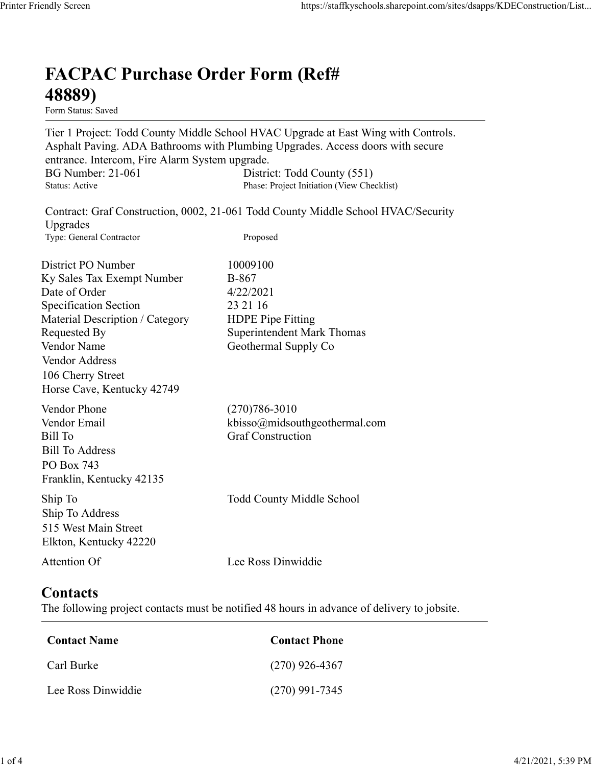## FACPAC Purchase Order Form (Ref# 48889)

Form Status: Saved

Tier 1 Project: Todd County Middle School HVAC Upgrade at East Wing with Controls. Asphalt Paving. ADA Bathrooms with Plumbing Upgrades. Access doors with secure entrance. Intercom, Fire Alarm System upgrade. https://staffkyschools.sharepoint.com/sites/dsapps/KDEConstructic<br> **FACPAC Purchase Order Form (Ref#**<br>
H8889)<br>
Form Status: Saved<br>
Tier 1 Project: Todd County Middle School HVAC Upgrade at East Wing with Controls.<br>
Asphalt https://staffkyschools.sharepoint.com/sites/dsapps/KDEConstructic<br> **FACPAC Purchase Order Form (Ref#**<br>
Form Status: Saved<br>
Tier 1 Project: Todd County Middle School HVAC Upgrade at East Wing with Controls.<br>
Asphalt Paving. May Screen<br>
Intps://staffkyschools.sharepoint.com/sites/dsarps/KDFConstructic<br>
Term Status: Saved<br>
Form Status: Saved<br>
Form Status: Saved<br>
Form Status: Saved<br>
Term Project: Todd County Middle School HVAC Upgrade at East Wi **FACPAC Purchase Order Form (Ref#** $\leftarrow$  **48889)**<br>
Form Status: Saved<br>
Tier 1 Project: Todd County Middle School HVAC Upgrade at East Wing with Controls.<br>
Asphalt Paving. ADA Bathrooms with Plumbing Upgrades. Access doors wi

Contract: Graf Construction, 0002, 21-061 Todd County Middle School HVAC/Security Upgrades

**FACPAC Purchase Order Form (Ref#**<br> **48889)**<br>
Form Stans: Saved<br>
Form Stans: Saved<br>
Teroject: Todd County Middle School HVAC Upgrade at East Wing with Controls.<br>
Asphalt Paving. ADA Bathrooms with Plumbing Upgrades.<br>
Acce FACPAC Purchase Order Form (Ref#<br>
48889)<br>
Form Status: Saved<br>
Tier 1 Project: Todd County Middle School HVAC Upgrade at East Wing with Controls.<br>
Asphalt Paving. ADA Bathrooms with Plumbing Upgrades. Access doors with secu **FACPAC Purchase Order Form (Ref#**<br> **48889)**<br>
Form Status: Saved<br>
Tier 1 Project: Todd County Middle School HVAC Upgrade at East Wing with Controls.<br>
Asphalt Paving, ADA Bathrooms with Plumbing Upgrades. Access doors with **FACPAC Purchase Order Form (Ref#**<br> **48889)**<br>
Form States Saved<br>
Form States Saved<br>
Term I Properties<br>
Asphalt Paving. ADA Bathrooms with Plumbing Upgrades. Access doors with secure<br>
entrance. Intercom, Fire Alarm System **48889)**<br>
Form Statuss Saved<br>
Tier 1 Project: Todd County Middle School HVAC Upgrade at East Wing with Controls.<br>
Apphalt Paving. ADA Bathrooms with Plumbing Upgrades. Access doors with secure<br>
entrance. Intercom, Fire Ala **From States:**<br> **From States:**<br> **From States:**<br> **From States:**<br> **From States:**<br> **Controls:**<br> **Asphalt Paving. ADA Bathrooms with Plumbing Upgrades. Access doors with secure<br>
cntrance. Intercom, Fire Alarm System upgrade.<br>** Vendor Address 106 Cherry Street Horse Cave, Kentucky 42749 entrance. Intercom, Fire Alarm System upgrade.<br>
BG Number: 21-061 District: Todd County (551)<br>
Status: Active Phase: Project Initiation (View Checklist)<br>
Upgrades<br>
Contract: Graf Construction, 0002, 21-061 Todd County Midd By Number: 21-061<br>
Bharnet: Order Construction, 0002, 21-061 Todd County Middle School HVAC/Security<br>
Upgrades<br>
Shaus: Active<br>
Upgrades<br>
Type: General Contractor<br>
Upgrades<br>
Expectification For the Construction, 0002, 21-06 Sultan: Active<br>
Expansion: Craft Construction, 0002, 21-061 Todd County Middle School HVAC/Security<br>
Upgrades<br>
Upgrades<br>
Type: General Contractor<br>
District PO Number<br>
IDSE Type: Ceneral Contractor<br>
District PO Number<br>
IDSE District PO Number<br>
In Sky Sales Tax Exempt Number<br>
IDRE of Order<br>
Specification Section<br>
Specification Section<br>
Material Description / Category<br>
HDPE Pipe Fitting<br>
Material Description / Category<br>
Undor Mame<br>
Nendor Name<br> Material Description / Category<br>
Requested By<br>
Requested By<br>
Nendor Name<br>
Vendor Address<br>
Vendor Address<br>
106 Cherry Street<br>
Horse Cave, Kentucky 42749<br>
Vendor Phone<br>
(270)786-3010<br>
Vendor Phone<br>
(270)786-3010<br>
Vendor Phon

## **Contacts**

| $1101$ SC Cave, Refiliucky 42/49                                                                            |                                                                                             |  |
|-------------------------------------------------------------------------------------------------------------|---------------------------------------------------------------------------------------------|--|
| Vendor Phone<br>Vendor Email<br>Bill To<br><b>Bill To Address</b><br>PO Box 743<br>Franklin, Kentucky 42135 | $(270)786 - 3010$<br>kbisso@midsouthgeothermal.com<br><b>Graf Construction</b>              |  |
| Ship To<br>Ship To Address<br>515 West Main Street<br>Elkton, Kentucky 42220                                | Todd County Middle School                                                                   |  |
|                                                                                                             |                                                                                             |  |
|                                                                                                             | Lee Ross Dinwiddie                                                                          |  |
| Attention Of<br>Contacts                                                                                    | The following project contacts must be notified 48 hours in advance of delivery to jobsite. |  |
| <b>Contact Name</b>                                                                                         | <b>Contact Phone</b>                                                                        |  |
| Carl Burke                                                                                                  | $(270)$ 926-4367                                                                            |  |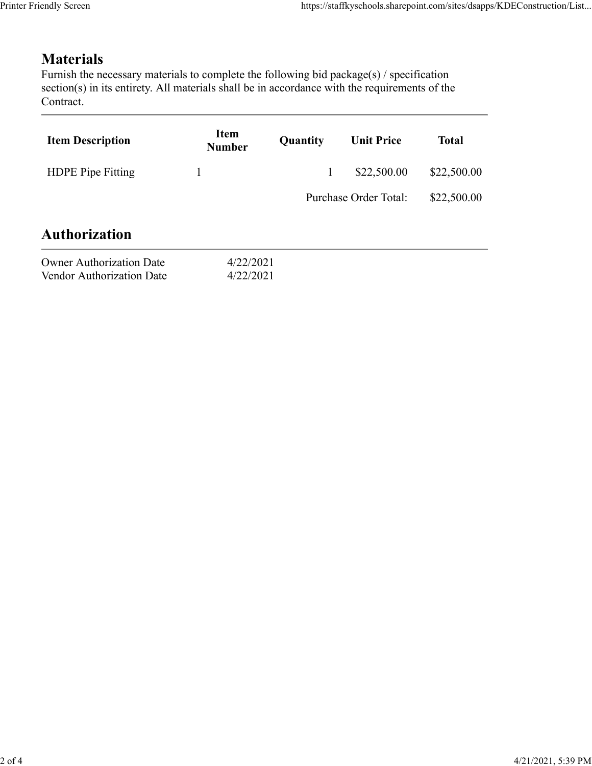## **Materials**

|                                                                                                                                                                                                                            |                              |              | https://staffkyschools.sharepoint.com/sites/dsapps/KDEConstruction/List |              |
|----------------------------------------------------------------------------------------------------------------------------------------------------------------------------------------------------------------------------|------------------------------|--------------|-------------------------------------------------------------------------|--------------|
|                                                                                                                                                                                                                            |                              |              |                                                                         |              |
| <b>Materials</b><br>Furnish the necessary materials to complete the following bid package(s) / specification<br>section(s) in its entirety. All materials shall be in accordance with the requirements of the<br>Contract. |                              |              |                                                                         |              |
| <b>Item Description</b>                                                                                                                                                                                                    | <b>Item</b><br><b>Number</b> | Quantity     | <b>Unit Price</b>                                                       | <b>Total</b> |
| HDPE Pipe Fitting                                                                                                                                                                                                          | 1                            | $\mathbf{1}$ | \$22,500.00                                                             | \$22,500.00  |
|                                                                                                                                                                                                                            |                              |              | Purchase Order Total:                                                   | \$22,500.00  |
|                                                                                                                                                                                                                            |                              |              |                                                                         |              |
| <b>Authorization</b>                                                                                                                                                                                                       |                              |              |                                                                         |              |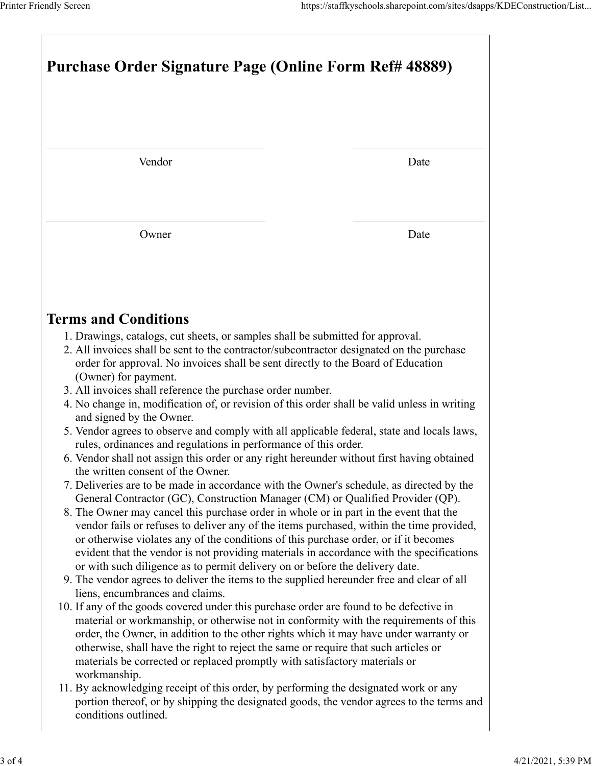| Printer Friendly Screen                                                                                                                                                                                                                                                                                                                                                                                                                                   | https://staffkyschools.sharepoint.com/sites/dsapps/KDEConstruction/List                |  |  |  |
|-----------------------------------------------------------------------------------------------------------------------------------------------------------------------------------------------------------------------------------------------------------------------------------------------------------------------------------------------------------------------------------------------------------------------------------------------------------|----------------------------------------------------------------------------------------|--|--|--|
|                                                                                                                                                                                                                                                                                                                                                                                                                                                           |                                                                                        |  |  |  |
|                                                                                                                                                                                                                                                                                                                                                                                                                                                           |                                                                                        |  |  |  |
| <b>Purchase Order Signature Page (Online Form Ref# 48889)</b>                                                                                                                                                                                                                                                                                                                                                                                             |                                                                                        |  |  |  |
|                                                                                                                                                                                                                                                                                                                                                                                                                                                           |                                                                                        |  |  |  |
| Vendor                                                                                                                                                                                                                                                                                                                                                                                                                                                    | Date                                                                                   |  |  |  |
| Owner                                                                                                                                                                                                                                                                                                                                                                                                                                                     | Date                                                                                   |  |  |  |
| <b>Terms and Conditions</b>                                                                                                                                                                                                                                                                                                                                                                                                                               |                                                                                        |  |  |  |
| 1. Drawings, catalogs, cut sheets, or samples shall be submitted for approval.<br>2. All invoices shall be sent to the contractor/subcontractor designated on the purchase<br>order for approval. No invoices shall be sent directly to the Board of Education<br>(Owner) for payment.<br>3. All invoices shall reference the purchase order number.                                                                                                      |                                                                                        |  |  |  |
| 4. No change in, modification of, or revision of this order shall be valid unless in writing<br>and signed by the Owner.<br>5. Vendor agrees to observe and comply with all applicable federal, state and locals laws,<br>rules, ordinances and regulations in performance of this order.<br>6. Vendor shall not assign this order or any right hereunder without first having obtained                                                                   |                                                                                        |  |  |  |
| the written consent of the Owner.<br>7. Deliveries are to be made in accordance with the Owner's schedule, as directed by the<br>General Contractor (GC), Construction Manager (CM) or Qualified Provider (QP).<br>8. The Owner may cancel this purchase order in whole or in part in the event that the                                                                                                                                                  |                                                                                        |  |  |  |
| vendor fails or refuses to deliver any of the items purchased, within the time provided,<br>or otherwise violates any of the conditions of this purchase order, or if it becomes<br>evident that the vendor is not providing materials in accordance with the specifications<br>or with such diligence as to permit delivery on or before the delivery date.<br>9. The vendor agrees to deliver the items to the supplied hereunder free and clear of all |                                                                                        |  |  |  |
| liens, encumbrances and claims.                                                                                                                                                                                                                                                                                                                                                                                                                           | 10. If any of the goods covered under this purchase order are found to be defective in |  |  |  |
| material or workmanship, or otherwise not in conformity with the requirements of this<br>order, the Owner, in addition to the other rights which it may have under warranty or<br>otherwise, shall have the right to reject the same or require that such articles or                                                                                                                                                                                     |                                                                                        |  |  |  |